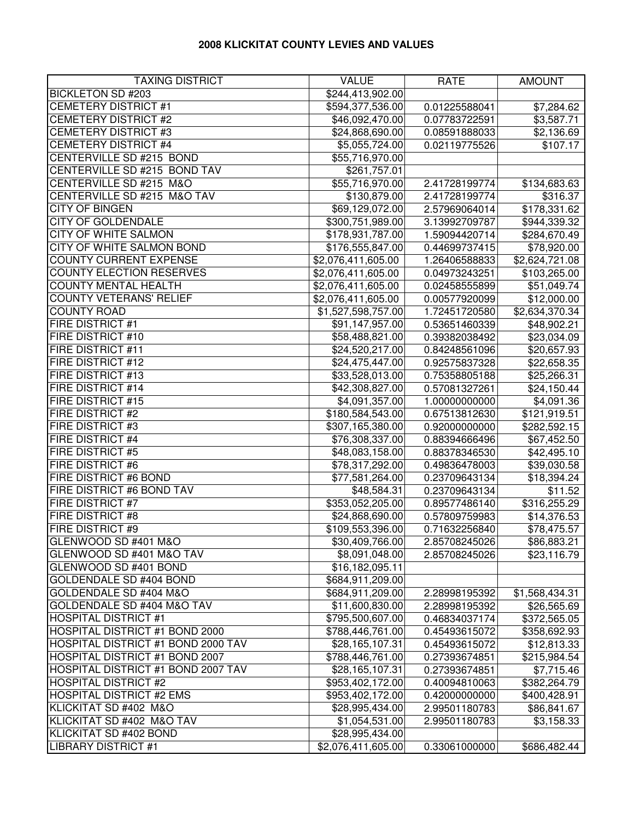## **2008 KLICKITAT COUNTY LEVIES AND VALUES**

| <b>TAXING DISTRICT</b>             | <b>VALUE</b>       | <b>RATE</b>   | <b>AMOUNT</b>          |
|------------------------------------|--------------------|---------------|------------------------|
| <b>BICKLETON SD #203</b>           | \$244,413,902.00   |               |                        |
| <b>CEMETERY DISTRICT #1</b>        | \$594,377,536.00   | 0.01225588041 | $\overline{$}7,284.62$ |
| <b>CEMETERY DISTRICT #2</b>        | \$46,092,470.00    | 0.07783722591 | \$3,587.71             |
| <b>CEMETERY DISTRICT #3</b>        | \$24,868,690.00    | 0.08591888033 | \$2,136.69             |
| <b>CEMETERY DISTRICT #4</b>        | \$5,055,724.00     | 0.02119775526 | \$107.17               |
| CENTERVILLE SD #215 BOND           | \$55,716,970.00    |               |                        |
| CENTERVILLE SD #215 BOND TAV       | \$261,757.01       |               |                        |
| CENTERVILLE SD #215 M&O            | \$55,716,970.00    | 2.41728199774 | \$134,683.63           |
| CENTERVILLE SD #215 M&O TAV        | \$130,879.00       | 2.41728199774 | \$316.37               |
| <b>CITY OF BINGEN</b>              | \$69,129,072.00    | 2.57969064014 | \$178,331.62           |
| <b>CITY OF GOLDENDALE</b>          | \$300,751,989.00   | 3.13992709787 | \$944,339.32           |
| CITY OF WHITE SALMON               | \$178,931,787.00   | 1.59094420714 | \$284,670.49           |
| CITY OF WHITE SALMON BOND          | \$176,555,847.00   | 0.44699737415 | \$78,920.00            |
| <b>COUNTY CURRENT EXPENSE</b>      | \$2,076,411,605.00 | 1.26406588833 | \$2,624,721.08         |
| <b>COUNTY ELECTION RESERVES</b>    | \$2,076,411,605.00 | 0.04973243251 | \$103,265.00           |
| <b>COUNTY MENTAL HEALTH</b>        | \$2,076,411,605.00 | 0.02458555899 | \$51,049.74            |
| <b>COUNTY VETERANS' RELIEF</b>     | \$2,076,411,605.00 | 0.00577920099 | \$12,000.00            |
| <b>COUNTY ROAD</b>                 | \$1,527,598,757.00 | 1.72451720580 | \$2,634,370.34         |
| FIRE DISTRICT #1                   | \$91,147,957.00    | 0.53651460339 | \$48,902.21            |
| <b>FIRE DISTRICT #10</b>           | \$58,488,821.00    | 0.39382038492 | \$23,034.09            |
| <b>FIRE DISTRICT #11</b>           | \$24,520,217.00    | 0.84248561096 | \$20,657.93            |
| <b>FIRE DISTRICT #12</b>           | \$24,475,447.00    | 0.92575837328 | \$22,658.35            |
| <b>FIRE DISTRICT #13</b>           | \$33,528,013.00    | 0.75358805188 | \$25,266.31            |
| <b>FIRE DISTRICT #14</b>           | \$42,308,827.00    | 0.57081327261 | \$24,150.44            |
| <b>FIRE DISTRICT #15</b>           | \$4,091,357.00     | 1.00000000000 | \$4,091.36             |
| <b>FIRE DISTRICT #2</b>            | \$180,584,543.00   | 0.67513812630 | \$121,919.51           |
| <b>FIRE DISTRICT #3</b>            | \$307,165,380.00   | 0.92000000000 | \$282,592.15           |
| <b>FIRE DISTRICT #4</b>            | \$76,308,337.00    | 0.88394666496 | \$67,452.50            |
| <b>FIRE DISTRICT #5</b>            | \$48,083,158.00    | 0.88378346530 | \$42,495.10            |
| <b>FIRE DISTRICT #6</b>            | \$78,317,292.00    | 0.49836478003 | \$39,030.58            |
| FIRE DISTRICT #6 BOND              | \$77,581,264.00    | 0.23709643134 | \$18,394.24            |
| FIRE DISTRICT #6 BOND TAV          | \$48,584.31        | 0.23709643134 | \$11.52                |
| <b>FIRE DISTRICT #7</b>            | \$353,052,205.00   | 0.89577486140 | \$316,255.29           |
| <b>FIRE DISTRICT #8</b>            | \$24,868,690.00    | 0.57809759983 | \$14,376.53            |
| <b>FIRE DISTRICT #9</b>            | \$109,553,396.00   | 0.71632256840 | \$78,475.57            |
| GLENWOOD SD #401 M&O               | \$30,409,766.00    | 2.85708245026 | \$86,883.21            |
| GLENWOOD SD #401 M&O TAV           | \$8,091,048.00     | 2.85708245026 | \$23,116.79            |
| GLENWOOD SD #401 BOND              | \$16,182,095.11    |               |                        |
| <b>GOLDENDALE SD #404 BOND</b>     | \$684,911,209.00   |               |                        |
| GOLDENDALE SD #404 M&O             | \$684,911,209.00   | 2.28998195392 | \$1,568,434.31         |
| GOLDENDALE SD #404 M&O TAV         | \$11,600,830.00    | 2.28998195392 | \$26,565.69            |
| <b>HOSPITAL DISTRICT #1</b>        | \$795,500,607.00   | 0.46834037174 | \$372,565.05           |
| HOSPITAL DISTRICT #1 BOND 2000     | \$788,446,761.00   | 0.45493615072 | \$358,692.93           |
| HOSPITAL DISTRICT #1 BOND 2000 TAV | \$28,165,107.31    | 0.45493615072 | \$12,813.33            |
| HOSPITAL DISTRICT #1 BOND 2007     | \$788,446,761.00   | 0.27393674851 | \$215,984.54           |
| HOSPITAL DISTRICT #1 BOND 2007 TAV | \$28,165,107.31    | 0.27393674851 | \$7,715.46             |
| <b>HOSPITAL DISTRICT #2</b>        | \$953,402,172.00   | 0.40094810063 | \$382,264.79           |
| <b>HOSPITAL DISTRICT #2 EMS</b>    | \$953,402,172.00   | 0.42000000000 | \$400,428.91           |
| KLICKITAT SD #402 M&O              | \$28,995,434.00    | 2.99501180783 | \$86,841.67            |
| KLICKITAT SD #402 M&O TAV          | \$1,054,531.00     | 2.99501180783 | \$3,158.33             |
| KLICKITAT SD #402 BOND             | \$28,995,434.00    |               |                        |
| <b>LIBRARY DISTRICT #1</b>         | \$2,076,411,605.00 | 0.33061000000 | \$686,482.44           |